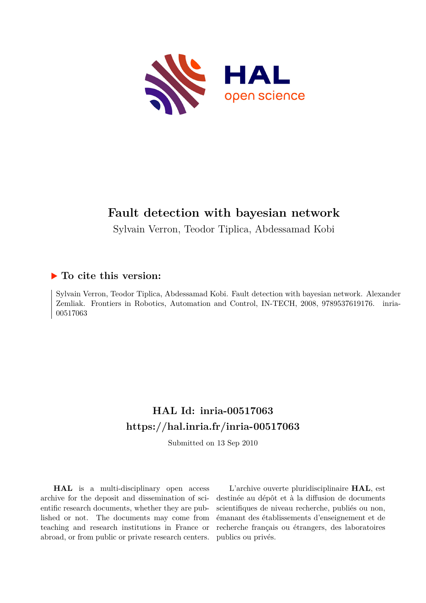

# **Fault detection with bayesian network**

Sylvain Verron, Teodor Tiplica, Abdessamad Kobi

## **To cite this version:**

Sylvain Verron, Teodor Tiplica, Abdessamad Kobi. Fault detection with bayesian network. Alexander Zemliak. Frontiers in Robotics, Automation and Control, IN-TECH, 2008, 9789537619176. inria-00517063ff

# **HAL Id: inria-00517063 <https://hal.inria.fr/inria-00517063>**

Submitted on 13 Sep 2010

**HAL** is a multi-disciplinary open access archive for the deposit and dissemination of scientific research documents, whether they are published or not. The documents may come from teaching and research institutions in France or abroad, or from public or private research centers.

L'archive ouverte pluridisciplinaire **HAL**, est destinée au dépôt et à la diffusion de documents scientifiques de niveau recherche, publiés ou non, émanant des établissements d'enseignement et de recherche français ou étrangers, des laboratoires publics ou privés.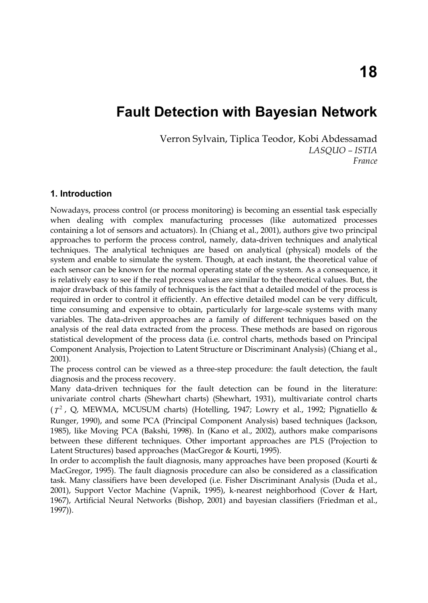## **Fault Detection with Bayesian Network**

Verron Sylvain, Tiplica Teodor, Kobi Abdessamad *LASQUO – ISTIA France* 

### **1. Introduction**

Nowadays, process control (or process monitoring) is becoming an essential task especially when dealing with complex manufacturing processes (like automatized processes containing a lot of sensors and actuators). In (Chiang et al., 2001), authors give two principal approaches to perform the process control, namely, data-driven techniques and analytical techniques. The analytical techniques are based on analytical (physical) models of the system and enable to simulate the system. Though, at each instant, the theoretical value of each sensor can be known for the normal operating state of the system. As a consequence, it is relatively easy to see if the real process values are similar to the theoretical values. But, the major drawback of this family of techniques is the fact that a detailed model of the process is required in order to control it efficiently. An effective detailed model can be very difficult, time consuming and expensive to obtain, particularly for large-scale systems with many variables. The data-driven approaches are a family of different techniques based on the analysis of the real data extracted from the process. These methods are based on rigorous statistical development of the process data (i.e. control charts, methods based on Principal Component Analysis, Projection to Latent Structure or Discriminant Analysis) (Chiang et al., 2001).

The process control can be viewed as a three-step procedure: the fault detection, the fault diagnosis and the process recovery.

Many data-driven techniques for the fault detection can be found in the literature: univariate control charts (Shewhart charts) (Shewhart, 1931), multivariate control charts  $(T^2$ , Q, MEWMA, MCUSUM charts) (Hotelling, 1947; Lowry et al., 1992; Pignatiello & Runger, 1990), and some PCA (Principal Component Analysis) based techniques (Jackson, 1985), like Moving PCA (Bakshi, 1998). In (Kano et al., 2002), authors make comparisons between these different techniques. Other important approaches are PLS (Projection to Latent Structures) based approaches (MacGregor & Kourti, 1995).

In order to accomplish the fault diagnosis, many approaches have been proposed (Kourti & MacGregor, 1995). The fault diagnosis procedure can also be considered as a classification task. Many classifiers have been developed (i.e. Fisher Discriminant Analysis (Duda et al., 2001), Support Vector Machine (Vapnik, 1995), k-nearest neighborhood (Cover & Hart, 1967), Artificial Neural Networks (Bishop, 2001) and bayesian classifiers (Friedman et al., 1997)).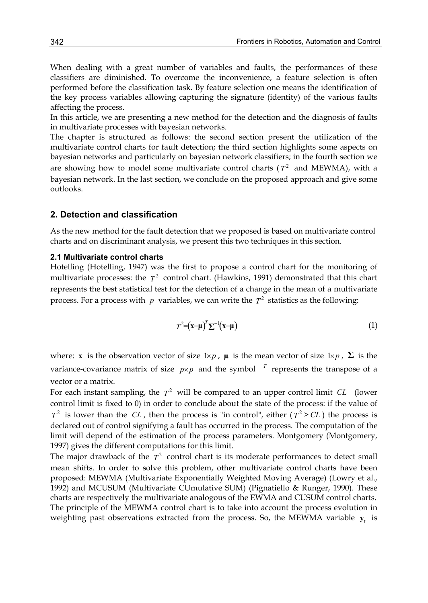When dealing with a great number of variables and faults, the performances of these classifiers are diminished. To overcome the inconvenience, a feature selection is often performed before the classification task. By feature selection one means the identification of the key process variables allowing capturing the signature (identity) of the various faults affecting the process.

In this article, we are presenting a new method for the detection and the diagnosis of faults in multivariate processes with bayesian networks.

The chapter is structured as follows: the second section present the utilization of the multivariate control charts for fault detection; the third section highlights some aspects on bayesian networks and particularly on bayesian network classifiers; in the fourth section we are showing how to model some multivariate control charts ( $T<sup>2</sup>$  and MEWMA), with a bayesian network. In the last section, we conclude on the proposed approach and give some outlooks.

### **2. Detection and classification**

As the new method for the fault detection that we proposed is based on multivariate control charts and on discriminant analysis, we present this two techniques in this section.

#### **2.1 Multivariate control charts**

Hotelling (Hotelling, 1947) was the first to propose a control chart for the monitoring of multivariate processes: the  $T^2$  control chart. (Hawkins, 1991) demonstrated that this chart represents the best statistical test for the detection of a change in the mean of a multivariate process. For a process with  $p$  variables, we can write the  $T^2$  statistics as the following:

$$
T^2 = (\mathbf{x} - \boldsymbol{\mu})^T \boldsymbol{\Sigma}^{-1} (\mathbf{x} - \boldsymbol{\mu})
$$
\n(1)

where: **x** is the observation vector of size  $1\times p$ , **µ** is the mean vector of size  $1\times p$ ,  $\Sigma$  is the variance-covariance matrix of size  $p \times p$  and the symbol  $T$  represents the transpose of a vector or a matrix.

For each instant sampling, the  $T^2$  will be compared to an upper control limit *CL* (lower control limit is fixed to 0) in order to conclude about the state of the process: if the value of  $T^2$  is lower than the *CL*, then the process is "in control", either  $(T^2 > CL)$  the process is declared out of control signifying a fault has occurred in the process. The computation of the limit will depend of the estimation of the process parameters. Montgomery (Montgomery, 1997) gives the different computations for this limit.

The major drawback of the  $T<sup>2</sup>$  control chart is its moderate performances to detect small mean shifts. In order to solve this problem, other multivariate control charts have been proposed: MEWMA (Multivariate Exponentially Weighted Moving Average) (Lowry et al., 1992) and MCUSUM (Multivariate CUmulative SUM) (Pignatiello & Runger, 1990). These charts are respectively the multivariate analogous of the EWMA and CUSUM control charts. The principle of the MEWMA control chart is to take into account the process evolution in weighting past observations extracted from the process. So, the MEWMA variable **y***t* is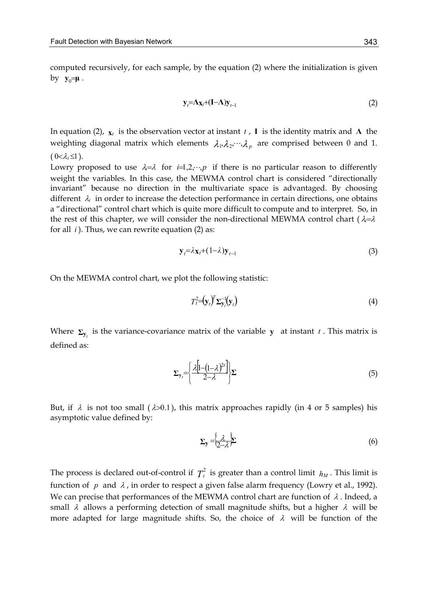computed recursively, for each sample, by the equation (2) where the initialization is given  $by \mathbf{y}_0 = \mathbf{\mu}$ .

$$
\mathbf{y}_t = \Lambda_{\mathbf{X}_t} + (\mathbf{I} - \Lambda)\mathbf{y}_{t-1} \tag{2}
$$

In equation (2),  $\mathbf{x}_t$  is the observation vector at instant *t*, **I** is the identity matrix and **Λ** the weighting diagonal matrix which elements  $\lambda_1, \lambda_2, \dots, \lambda_n$  are comprised between 0 and 1.  $(0<\lambda_i\leq 1)$ .

Lowry proposed to use  $\lambda = \lambda$  for  $i=1,2,\dots,p$  if there is no particular reason to differently weight the variables. In this case, the MEWMA control chart is considered "directionally invariant" because no direction in the multivariate space is advantaged. By choosing different  $\lambda_i$  in order to increase the detection performance in certain directions, one obtains a "directional" control chart which is quite more difficult to compute and to interpret. So, in the rest of this chapter, we will consider the non-directional MEWMA control chart ( $\lambda = \lambda$ for all *i* ). Thus, we can rewrite equation (2) as:

$$
\mathbf{y}_{t} = \lambda_{\mathbf{X}_{t}} + (1 - \lambda)\mathbf{y}_{t-1} \tag{3}
$$

On the MEWMA control chart, we plot the following statistic:

$$
T_t^2 = \left(\mathbf{y}_t\right)^T \Sigma_{\mathbf{y}_t}^{-1} \left(\mathbf{y}_t\right) \tag{4}
$$

Where  $\Sigma_{\mathbf{y}_t}$  is the variance-covariance matrix of the variable **y** at instant *t*. This matrix is defined as:

$$
\Sigma_{\mathbf{y}_i} = \left\{ \frac{\lambda \left[ 1 - (1 - \lambda)^{2t} \right]}{2 - \lambda} \right\} \Sigma \tag{5}
$$

But, if  $\lambda$  is not too small ( $\lambda > 0.1$ ), this matrix approaches rapidly (in 4 or 5 samples) his asymptotic value defined by:

$$
\Sigma_{\mathbf{y}} = \left\{ \frac{\lambda}{2 - \lambda} \right\} \tag{6}
$$

The process is declared out-of-control if  $T_t^2$  is greater than a control limit  $h_M$ . This limit is function of *p* and  $\lambda$ , in order to respect a given false alarm frequency (Lowry et al., 1992). We can precise that performances of the MEWMA control chart are function of  $\lambda$ . Indeed, a small  $\lambda$  allows a performing detection of small magnitude shifts, but a higher  $\lambda$  will be more adapted for large magnitude shifts. So, the choice of  $\lambda$  will be function of the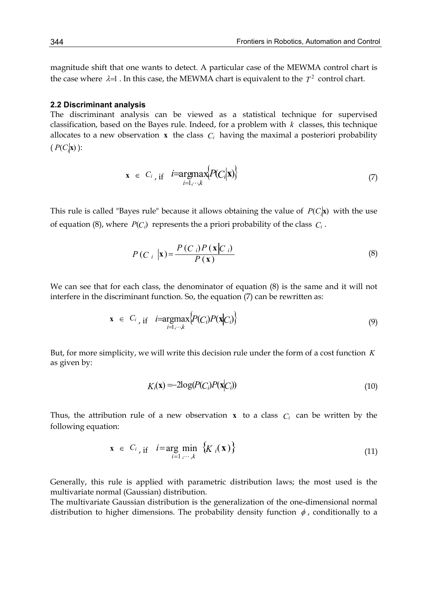magnitude shift that one wants to detect. A particular case of the MEWMA control chart is the case where  $\lambda = 1$ . In this case, the MEWMA chart is equivalent to the  $T^2$  control chart.

#### **2.2 Discriminant analysis**

The discriminant analysis can be viewed as a statistical technique for supervised classification, based on the Bayes rule. Indeed, for a problem with *k* classes, this technique allocates to a new observation  $\bf{x}$  the class  $C_i$  having the maximal a posteriori probability  $(P(C_i|\mathbf{x}))$ :

$$
\mathbf{x} \in C_i, \text{ if } i = \underset{i=1,\cdots,k}{\text{argmax}} \{P(C_i|\mathbf{x})\} \tag{7}
$$

This rule is called "Bayes rule" because it allows obtaining the value of  $P(C_i|\mathbf{x})$  with the use of equation (8), where  $P(C_i)$  represents the a priori probability of the class  $C_i$ .

$$
P(C_i \mid \mathbf{x}) = \frac{P(C_i)P(\mathbf{x}|C_i)}{P(\mathbf{x})}
$$
\n(8)

We can see that for each class, the denominator of equation (8) is the same and it will not interfere in the discriminant function. So, the equation (7) can be rewritten as:

$$
\mathbf{x} \in C_i, \text{ if } i = \operatorname*{argmax}_{i=1,\cdots,k} \{ P(C_i) P(\mathbf{x}|C_i) \} \tag{9}
$$

But, for more simplicity, we will write this decision rule under the form of a cost function *K* as given by:

$$
K_i(\mathbf{x}) = -2\log(P(C_i)P(\mathbf{x}|C_i))\tag{10}
$$

Thus, the attribution rule of a new observation **x** to a class  $C_i$  can be written by the following equation:

$$
\mathbf{x} \in C_{i}, \text{if} \quad i = \underset{i=1,\cdots,k}{\arg \min} \left\{ K_{i}(\mathbf{x}) \right\} \tag{11}
$$

Generally, this rule is applied with parametric distribution laws; the most used is the multivariate normal (Gaussian) distribution.

The multivariate Gaussian distribution is the generalization of the one-dimensional normal distribution to higher dimensions. The probability density function  $\phi$ , conditionally to a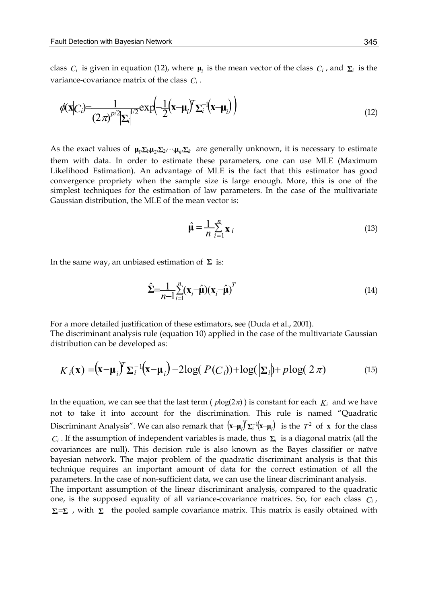class *C<sub>i</sub>* is given in equation (12), where  $\mu$ <sup>*i*</sup> is the mean vector of the class *C<sub>i</sub>*, and  $\Sigma$ *i* is the variance-covariance matrix of the class *Ci* .

$$
\phi(\mathbf{x}|C_i) = \frac{1}{(2\pi)^{p/2}|\Sigma_i|^{1/2}} \exp\left(-\frac{1}{2}(\mathbf{x}-\mathbf{\mu}_i)^T \Sigma_i^{-1}(\mathbf{x}-\mathbf{\mu}_i)\right)
$$
(12)

As the exact values of  $\mu_1, \Sigma_1, \mu_2, \Sigma_2, \cdots, \mu_k, \Sigma_k$  are generally unknown, it is necessary to estimate them with data. In order to estimate these parameters, one can use MLE (Maximum Likelihood Estimation). An advantage of MLE is the fact that this estimator has good convergence propriety when the sample size is large enough. More, this is one of the simplest techniques for the estimation of law parameters. In the case of the multivariate Gaussian distribution, the MLE of the mean vector is:

$$
\hat{\mu} = \frac{1}{n} \sum_{i=1}^{n} \mathbf{x}_i
$$
\n(13)

In the same way, an unbiased estimation of **Σ** is:

$$
\hat{\Sigma} = \frac{1}{n-1} \sum_{i=1}^{n} (\mathbf{x}_i - \hat{\boldsymbol{\mu}}) (\mathbf{x}_i - \hat{\boldsymbol{\mu}})^T
$$
\n(14)

For a more detailed justification of these estimators, see (Duda et al., 2001). The discriminant analysis rule (equation 10) applied in the case of the multivariate Gaussian distribution can be developed as:

$$
K_i(\mathbf{x}) = (\mathbf{x} - \boldsymbol{\mu}_i)^T \boldsymbol{\Sigma}_i^{-1} (\mathbf{x} - \boldsymbol{\mu}_i) - 2\log(P(C_i)) + \log(\left| \boldsymbol{\Sigma}_i \right|) + p \log(2\pi) \tag{15}
$$

In the equation, we can see that the last term ( $plog(2\pi)$ ) is constant for each  $K_i$  and we have not to take it into account for the discrimination. This rule is named "Quadratic Discriminant Analysis". We can also remark that  $(\mathbf{x}-\boldsymbol{\mu}_i)^T \boldsymbol{\Sigma}_i^{-1}(\mathbf{x}-\boldsymbol{\mu}_i)$  is the  $T^2$  of  $\mathbf x$  for the class *Ci* . If the assumption of independent variables is made, thus **Σ***i* is a diagonal matrix (all the covariances are null). This decision rule is also known as the Bayes classifier or naïve bayesian network. The major problem of the quadratic discriminant analysis is that this technique requires an important amount of data for the correct estimation of all the parameters. In the case of non-sufficient data, we can use the linear discriminant analysis. The important assumption of the linear discriminant analysis, compared to the quadratic

one, is the supposed equality of all variance-covariance matrices. So, for each class *Ci* , **Σ***i* =**Σ** , with **Σ** the pooled sample covariance matrix. This matrix is easily obtained with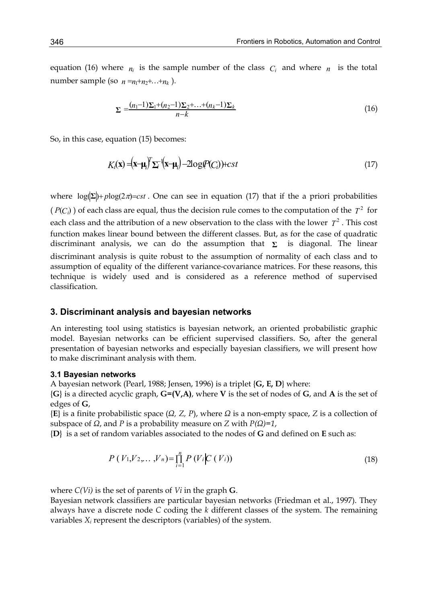equation (16) where  $n_i$  is the sample number of the class  $C_i$  and where  $n_i$  is the total number sample (so  $n = n + n + \ldots + n_k$ ).

$$
\Sigma = \frac{(n_1 - 1)\Sigma_1 + (n_2 - 1)\Sigma_2 + \dots + (n_k - 1)\Sigma_k}{n - k}
$$
\n(16)

So, in this case, equation (15) becomes:

$$
K_i(\mathbf{x}) = (\mathbf{x} - \mathbf{\mu}_i)^T \Sigma_i^{-1} (\mathbf{x} - \mathbf{\mu}_i) - 2\log(P(C_i)) + cst
$$
\n(17)

where  $log(\Sigma)$ + $plog(2\pi)$ =*cst*. One can see in equation (17) that if the a priori probabilities ( $P(C_i)$ ) of each class are equal, thus the decision rule comes to the computation of the  $T^2$  for each class and the attribution of a new observation to the class with the lower  $T^2$ . This cost function makes linear bound between the different classes. But, as for the case of quadratic discriminant analysis, we can do the assumption that  $\Sigma$  is diagonal. The linear discriminant analysis is quite robust to the assumption of normality of each class and to assumption of equality of the different variance-covariance matrices. For these reasons, this technique is widely used and is considered as a reference method of supervised classification.

#### **3. Discriminant analysis and bayesian networks**

An interesting tool using statistics is bayesian network, an oriented probabilistic graphic model. Bayesian networks can be efficient supervised classifiers. So, after the general presentation of bayesian networks and especially bayesian classifiers, we will present how to make discriminant analysis with them.

#### **3.1 Bayesian networks**

A bayesian network (Pearl, 1988; Jensen, 1996) is a triplet {**G, E, D**} where:

{**G**} is a directed acyclic graph, **G=(V,A)**, where **V** is the set of nodes of **G**, and **A** is the set of edges of **G**,

{**E**} is a finite probabilistic space (*Ω, Z, P*), where *Ω* is a non-empty space, *Z* is a collection of subspace of *Ω*, and *P* is a probability measure on *Z* with *P(Ω)=1*,

{**D**} is a set of random variables associated to the nodes of **G** and defined on **E** such as:

$$
P(V_1, V_2, \dots, V_n) = \prod_{i=1}^n P(V_i | C(V_i))
$$
\n(18)

where *C(Vi)* is the set of parents of *Vi* in the graph **G**.

Bayesian network classifiers are particular bayesian networks (Friedman et al., 1997). They always have a discrete node *C* coding the *k* different classes of the system. The remaining variables *Xi* represent the descriptors (variables) of the system.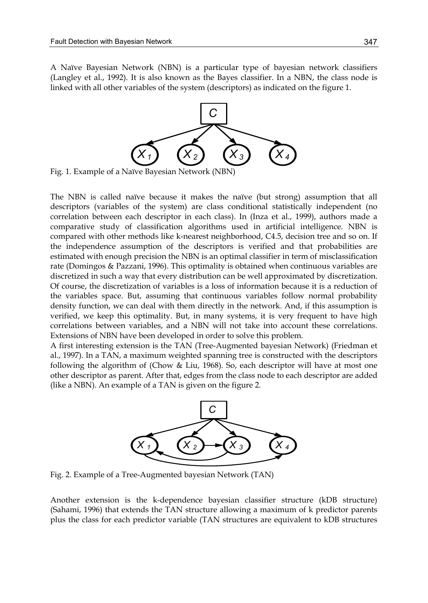A Naïve Bayesian Network (NBN) is a particular type of bayesian network classifiers (Langley et al., 1992). It is also known as the Bayes classifier. In a NBN, the class node is linked with all other variables of the system (descriptors) as indicated on the figure 1.



Fig. 1. Example of a Naïve Bayesian Network (NBN)

The NBN is called naïve because it makes the naïve (but strong) assumption that all descriptors (variables of the system) are class conditional statistically independent (no correlation between each descriptor in each class). In (Inza et al., 1999), authors made a comparative study of classification algorithms used in artificial intelligence. NBN is compared with other methods like k-nearest neighborhood, C4.5, decision tree and so on. If the independence assumption of the descriptors is verified and that probabilities are estimated with enough precision the NBN is an optimal classifier in term of misclassification rate (Domingos & Pazzani, 1996). This optimality is obtained when continuous variables are discretized in such a way that every distribution can be well approximated by discretization. Of course, the discretization of variables is a loss of information because it is a reduction of the variables space. But, assuming that continuous variables follow normal probability density function, we can deal with them directly in the network. And, if this assumption is verified, we keep this optimality. But, in many systems, it is very frequent to have high correlations between variables, and a NBN will not take into account these correlations. Extensions of NBN have been developed in order to solve this problem.

A first interesting extension is the TAN (Tree-Augmented bayesian Network) (Friedman et al., 1997). In a TAN, a maximum weighted spanning tree is constructed with the descriptors following the algorithm of (Chow & Liu, 1968). So, each descriptor will have at most one other descriptor as parent. After that, edges from the class node to each descriptor are added (like a NBN). An example of a TAN is given on the figure 2.



Fig. 2. Example of a Tree-Augmented bayesian Network (TAN)

Another extension is the k-dependence bayesian classifier structure (kDB structure) (Sahami, 1996) that extends the TAN structure allowing a maximum of k predictor parents plus the class for each predictor variable (TAN structures are equivalent to kDB structures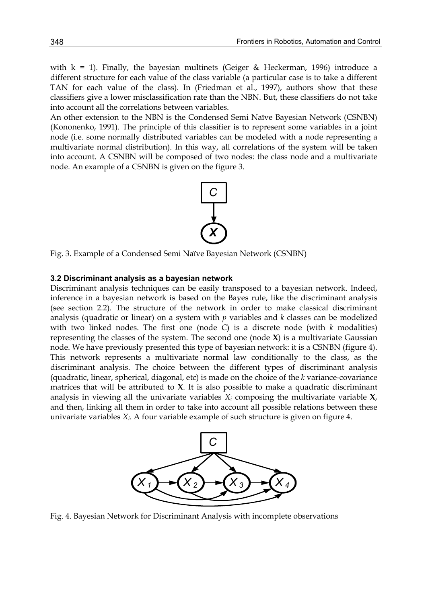with  $k = 1$ ). Finally, the bayesian multinets (Geiger & Heckerman, 1996) introduce a different structure for each value of the class variable (a particular case is to take a different TAN for each value of the class). In (Friedman et al., 1997), authors show that these classifiers give a lower misclassification rate than the NBN. But, these classifiers do not take into account all the correlations between variables.

An other extension to the NBN is the Condensed Semi Naïve Bayesian Network (CSNBN) (Kononenko, 1991). The principle of this classifier is to represent some variables in a joint node (i.e. some normally distributed variables can be modeled with a node representing a multivariate normal distribution). In this way, all correlations of the system will be taken into account. A CSNBN will be composed of two nodes: the class node and a multivariate node. An example of a CSNBN is given on the figure 3.



Fig. 3. Example of a Condensed Semi Naïve Bayesian Network (CSNBN)

#### **3.2 Discriminant analysis as a bayesian network**

Discriminant analysis techniques can be easily transposed to a bayesian network. Indeed, inference in a bayesian network is based on the Bayes rule, like the discriminant analysis (see section 2.2). The structure of the network in order to make classical discriminant analysis (quadratic or linear) on a system with *p* variables and *k* classes can be modelized with two linked nodes. The first one (node *C*) is a discrete node (with *k* modalities) representing the classes of the system. The second one (node **X**) is a multivariate Gaussian node. We have previously presented this type of bayesian network: it is a CSNBN (figure 4). This network represents a multivariate normal law conditionally to the class, as the discriminant analysis. The choice between the different types of discriminant analysis (quadratic, linear, spherical, diagonal, etc) is made on the choice of the *k* variance-covariance matrices that will be attributed to **X**. It is also possible to make a quadratic discriminant analysis in viewing all the univariate variables *Xi* composing the multivariate variable **X**, and then, linking all them in order to take into account all possible relations between these univariate variables *Xi*. A four variable example of such structure is given on figure 4.



Fig. 4. Bayesian Network for Discriminant Analysis with incomplete observations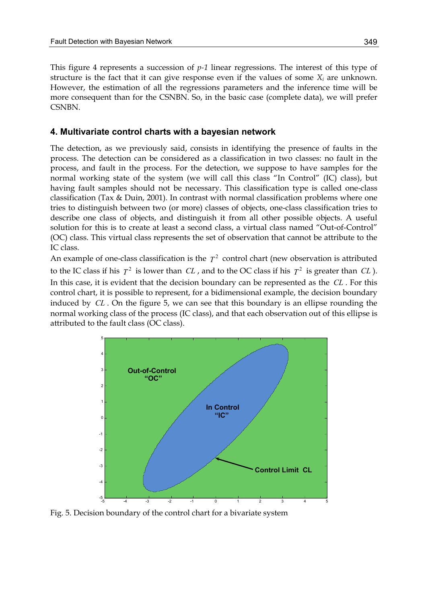This figure 4 represents a succession of *p-1* linear regressions. The interest of this type of structure is the fact that it can give response even if the values of some  $X_i$  are unknown. However, the estimation of all the regressions parameters and the inference time will be more consequent than for the CSNBN. So, in the basic case (complete data), we will prefer **CSNBN** 

#### **4. Multivariate control charts with a bayesian network**

The detection, as we previously said, consists in identifying the presence of faults in the process. The detection can be considered as a classification in two classes: no fault in the process, and fault in the process. For the detection, we suppose to have samples for the normal working state of the system (we will call this class "In Control" (IC) class), but having fault samples should not be necessary. This classification type is called one-class classification (Tax & Duin, 2001). In contrast with normal classification problems where one tries to distinguish between two (or more) classes of objects, one-class classification tries to describe one class of objects, and distinguish it from all other possible objects. A useful solution for this is to create at least a second class, a virtual class named "Out-of-Control" (OC) class. This virtual class represents the set of observation that cannot be attribute to the IC class.

An example of one-class classification is the  $T<sup>2</sup>$  control chart (new observation is attributed to the IC class if his  $T^2$  is lower than *CL*, and to the OC class if his  $T^2$  is greater than *CL*). In this case, it is evident that the decision boundary can be represented as the *CL* . For this control chart, it is possible to represent, for a bidimensional example, the decision boundary induced by *CL* . On the figure 5, we can see that this boundary is an ellipse rounding the normal working class of the process (IC class), and that each observation out of this ellipse is attributed to the fault class (OC class).



Fig. 5. Decision boundary of the control chart for a bivariate system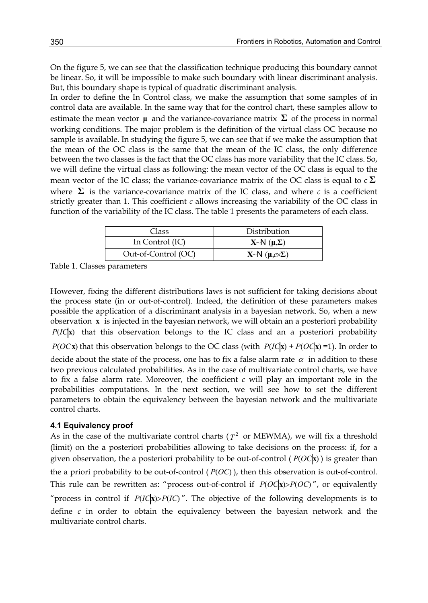On the figure 5, we can see that the classification technique producing this boundary cannot be linear. So, it will be impossible to make such boundary with linear discriminant analysis. But, this boundary shape is typical of quadratic discriminant analysis.

In order to define the In Control class, we make the assumption that some samples of in control data are available. In the same way that for the control chart, these samples allow to estimate the mean vector **μ** and the variance-covariance matrix  $\Sigma$  of the process in normal working conditions. The major problem is the definition of the virtual class OC because no sample is available. In studying the figure 5, we can see that if we make the assumption that the mean of the OC class is the same that the mean of the IC class, the only difference between the two classes is the fact that the OC class has more variability that the IC class. So, we will define the virtual class as following: the mean vector of the OC class is equal to the mean vector of the IC class; the variance-covariance matrix of the OC class is equal to  $c \Sigma$ where  $\Sigma$  is the variance-covariance matrix of the IC class, and where *c* is a coefficient strictly greater than 1. This coefficient *c* allows increasing the variability of the OC class in function of the variability of the IC class. The table 1 presents the parameters of each class.

| Class               | Distribution                     |
|---------------------|----------------------------------|
| In Control (IC)     | $X \sim N(\mu, \Sigma)$          |
| Out-of-Control (OC) | $X \sim N(\mu, c \times \Sigma)$ |

Table 1. Classes parameters

However, fixing the different distributions laws is not sufficient for taking decisions about the process state (in or out-of-control). Indeed, the definition of these parameters makes possible the application of a discriminant analysis in a bayesian network. So, when a new observation **x** is injected in the bayesian network, we will obtain an a posteriori probability *P*(*IC***x**) that this observation belongs to the IC class and an a posteriori probability *P*( $OC$ **x**) that this observation belongs to the OC class (with  $P(IC|\mathbf{x}) + P(OC|\mathbf{x}) = 1$ ). In order to decide about the state of the process, one has to fix a false alarm rate  $\alpha$  in addition to these two previous calculated probabilities. As in the case of multivariate control charts, we have to fix a false alarm rate. Moreover, the coefficient *c* will play an important role in the probabilities computations. In the next section, we will see how to set the different parameters to obtain the equivalency between the bayesian network and the multivariate control charts.

#### **4.1 Equivalency proof**

As in the case of the multivariate control charts ( $T^2$  or MEWMA), we will fix a threshold (limit) on the a posteriori probabilities allowing to take decisions on the process: if, for a given observation, the a posteriori probability to be out-of-control  $(P(OC|\mathbf{x}))$  is greater than the a priori probability to be out-of-control ( *P*(*OC*) ), then this observation is out-of-control. This rule can be rewritten as: "process out-of-control if *P*(*OC***x**)>*P*(*OC*) ", or equivalently "process in control if  $P(IC|\mathbf{x}) > P(IC)$ ". The objective of the following developments is to define *c* in order to obtain the equivalency between the bayesian network and the multivariate control charts.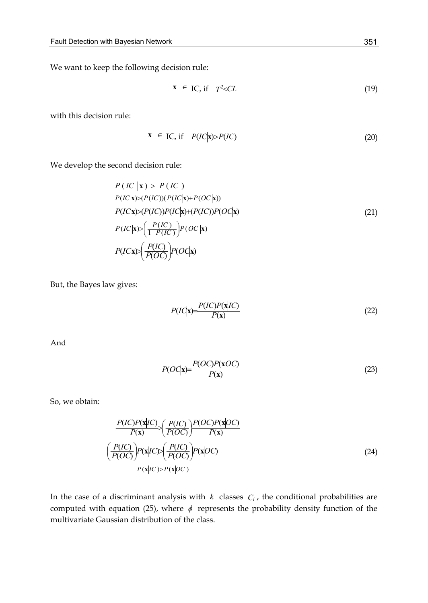We want to keep the following decision rule:

$$
\mathbf{x} \in \text{IC, if} \quad T^2 < CL \tag{19}
$$

with this decision rule:

$$
\mathbf{x} \in \text{IC, if} \quad P(\text{IC}|\mathbf{x}) > P(\text{IC}) \tag{20}
$$

We develop the second decision rule:

$$
P\left(IC \mid \mathbf{x}\right) > P\left(IC\right)
$$
\n
$$
P\left(IC \mid \mathbf{x}\right) > P\left(IC\right) \left(PC\mid \mathbf{x}\right) + P\left(OC \mid \mathbf{x}\right) \right)
$$
\n
$$
P\left(IC \mid \mathbf{x}\right) > \left(P\left(IC\right)\right)P\left(IC \mid \mathbf{x}\right) + \left(P\left(IC\right)\right)P\left(OC \mid \mathbf{x}\right)
$$
\n
$$
P\left(IC \mid \mathbf{x}\right) > \left(\frac{P\left(IC\right)}{1 - P\left(IC\right)}\right)P\left(OC \mid \mathbf{x}\right)
$$
\n
$$
P\left(IC \mid \mathbf{x}\right) > \left(\frac{P\left(IC\right)}{P\left(OC\right)}\right)P\left(OC \mid \mathbf{x}\right)
$$
\n(21)

But, the Bayes law gives:

$$
P(IC|\mathbf{x}) = \frac{P(IC)P(\mathbf{x}|IC)}{P(\mathbf{x})}
$$
\n(22)

And

$$
P(OC|\mathbf{x}) = \frac{P(OC)P(\mathbf{x}|OC)}{P(\mathbf{x})}
$$
\n(23)

So, we obtain:

$$
\frac{P(IC)P(\mathbf{x}|IC)}{P(\mathbf{x})} \geq \left(\frac{P(IC)}{P(OC)}\right) \frac{P(OC)P(\mathbf{x}|OC)}{P(\mathbf{x})}
$$
\n
$$
\left(\frac{P(IC)}{P(OC)}\right)P(\mathbf{x}|IC) \geq \left(\frac{P(IC)}{P(OC)}\right)P(\mathbf{x}|OC)
$$
\n
$$
\left(\frac{P(\mathbf{x}|C)P(\mathbf{x}|OC)}{P(\mathbf{x}|CC)P(\mathbf{x}|OC)}\right) \tag{24}
$$

In the case of a discriminant analysis with  $k$  classes  $C_i$ , the conditional probabilities are computed with equation (25), where  $\phi$  represents the probability density function of the multivariate Gaussian distribution of the class.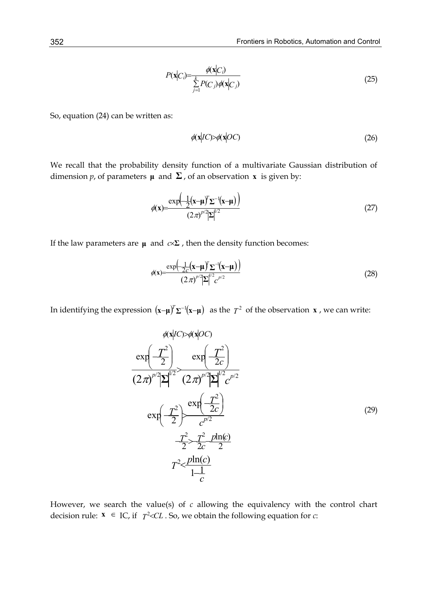$$
P(\mathbf{x}|C_i) = \frac{\phi(\mathbf{x}|C_i)}{\sum_{j=1}^k P(C_j)\phi(\mathbf{x}|C_j)}
$$
(25)

So, equation (24) can be written as:

$$
\phi(\mathbf{x}|I\mathbf{C}) > \phi(\mathbf{x}|O\mathbf{C})\tag{26}
$$

We recall that the probability density function of a multivariate Gaussian distribution of dimension *p*, of parameters  $\mu$  and  $\Sigma$ , of an observation **x** is given by:

$$
\phi(\mathbf{x}) = \frac{\exp\left(-\frac{1}{2}(\mathbf{x}-\boldsymbol{\mu})^T \Sigma^{-1}(\mathbf{x}-\boldsymbol{\mu})\right)}{(2\pi)^{p/2} |\Sigma|^{1/2}}
$$
(27)

If the law parameters are  $\mu$  and  $c \times \Sigma$ , then the density function becomes:

$$
\phi(\mathbf{x}) = \frac{\exp\left(-\frac{1}{2c}(\mathbf{x}-\boldsymbol{\mu})^T \Sigma^{-1}(\mathbf{x}-\boldsymbol{\mu})\right)}{(2\pi)^{p/2}|\Sigma|^{p/2}c^{p/2}}
$$
(28)

In identifying the expression  $(\mathbf{x}-\mathbf{\mu})^T\Sigma^{-1}(\mathbf{x}-\mathbf{\mu})$  as the  $T^2$  of the observation **x** , we can write:

$$
\phi(\mathbf{x}|I\mathbf{C}) > \phi(\mathbf{x}|O\mathbf{C})
$$
\n
$$
\exp\left(-\frac{T^2}{2}\right) \exp\left(-\frac{T^2}{2c}\right)
$$
\n
$$
(2\pi)^{p/2} |\mathbf{\Sigma}|^{1/2} \left(2\pi\right)^{p/2} |\mathbf{\Sigma}|^{1/2} c^{p/2}
$$
\n
$$
\exp\left(-\frac{T^2}{2}\right) \frac{\exp\left(-\frac{T^2}{2c}\right)}{c^{p/2}}
$$
\n
$$
\frac{T^2}{2} > \frac{T^2}{2c} \frac{p \ln(c)}{2}
$$
\n
$$
T^2 < \frac{p \ln(c)}{1-c}
$$
\n(29)

However, we search the value(s) of *c* allowing the equivalency with the control chart decision rule:  $\mathbf{x} \in \text{IC}$ , if  $T^2 < CL$ . So, we obtain the following equation for *c*: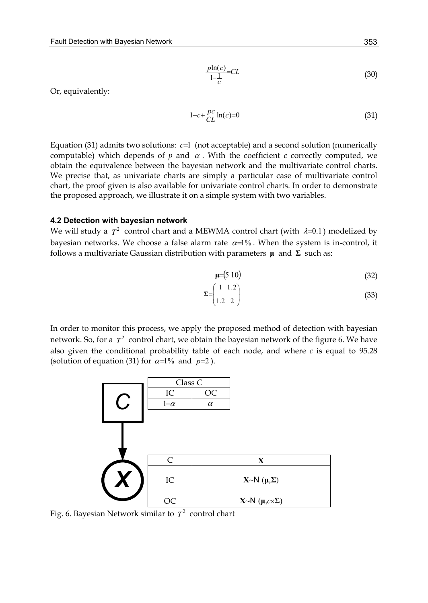$$
\frac{p\ln(c)}{1-\frac{1}{c}} = CL\tag{30}
$$

Or, equivalently:

$$
1 - c + \frac{pc}{CL} \ln(c) = 0 \tag{31}
$$

Equation (31) admits two solutions: *c*=1 (not acceptable) and a second solution (numerically computable) which depends of  $p$  and  $\alpha$ . With the coefficient  $c$  correctly computed, we obtain the equivalence between the bayesian network and the multivariate control charts. We precise that, as univariate charts are simply a particular case of multivariate control chart, the proof given is also available for univariate control charts. In order to demonstrate the proposed approach, we illustrate it on a simple system with two variables.

#### **4.2 Detection with bayesian network**

We will study a  $T^2$  control chart and a MEWMA control chart (with  $\lambda=0.1$ ) modelized by bayesian networks. We choose a false alarm rate  $\alpha=1\%$ . When the system is in-control, it follows a multivariate Gaussian distribution with parameters **μ** and **Σ** such as:

$$
\mu = (5 \ 10) \tag{32}
$$

$$
\Sigma = \begin{pmatrix} 1 & 1.2 \\ 1.2 & 2 \end{pmatrix} \tag{33}
$$

In order to monitor this process, we apply the proposed method of detection with bayesian network. So, for a  $T^2$  control chart, we obtain the bayesian network of the figure 6. We have also given the conditional probability table of each node, and where  $c$  is equal to 95.28 (solution of equation (31) for  $\alpha=1\%$  and  $p=2$ ).



Fig. 6. Bayesian Network similar to  $T^2$  control chart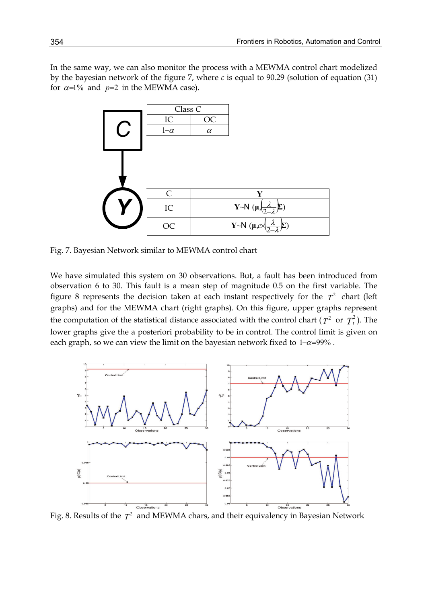In the same way, we can also monitor the process with a MEWMA control chart modelized by the bayesian network of the figure 7, where *c* is equal to 90.29 (solution of equation (31) for  $\alpha=1\%$  and  $p=2$  in the MEWMA case).



Fig. 7. Bayesian Network similar to MEWMA control chart

We have simulated this system on 30 observations. But, a fault has been introduced from observation 6 to 30. This fault is a mean step of magnitude 0.5 on the first variable. The figure 8 represents the decision taken at each instant respectively for the  $T^2$  chart (left graphs) and for the MEWMA chart (right graphs). On this figure, upper graphs represent the computation of the statistical distance associated with the control chart ( $T^2$  or  $T_t^2$ ). The lower graphs give the a posteriori probability to be in control. The control limit is given on each graph, so we can view the limit on the bayesian network fixed to  $1-\alpha=99\%$ .



Fig. 8. Results of the  $T^2$  and MEWMA chars, and their equivalency in Bayesian Network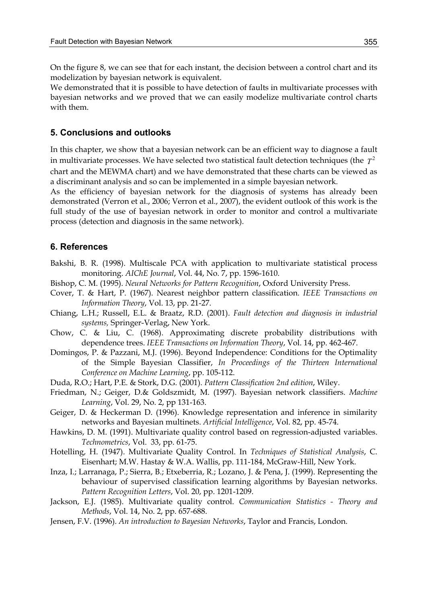On the figure 8, we can see that for each instant, the decision between a control chart and its modelization by bayesian network is equivalent.

We demonstrated that it is possible to have detection of faults in multivariate processes with bayesian networks and we proved that we can easily modelize multivariate control charts with them.

#### **5. Conclusions and outlooks**

In this chapter, we show that a bayesian network can be an efficient way to diagnose a fault in multivariate processes. We have selected two statistical fault detection techniques (the  $T^2$ chart and the MEWMA chart) and we have demonstrated that these charts can be viewed as a discriminant analysis and so can be implemented in a simple bayesian network.

As the efficiency of bayesian network for the diagnosis of systems has already been demonstrated (Verron et al., 2006; Verron et al., 2007), the evident outlook of this work is the full study of the use of bayesian network in order to monitor and control a multivariate process (detection and diagnosis in the same network).

#### **6. References**

- Bakshi, B. R. (1998). Multiscale PCA with application to multivariate statistical process monitoring. *AIChE Journal*, Vol. 44, No. 7, pp. 1596-1610.
- Bishop, C. M. (1995). *Neural Networks for Pattern Recognition*, Oxford University Press.
- Cover, T. & Hart, P. (1967). Nearest neighbor pattern classification. *IEEE Transactions on Information Theory*, Vol. 13, pp. 21-27.
- Chiang, L.H.; Russell, E.L. & Braatz, R.D. (2001). *Fault detection and diagnosis in industrial systems,* Springer-Verlag, New York.
- Chow, C. & Liu, C. (1968). Approximating discrete probability distributions with dependence trees. *IEEE Transactions on Information Theory*, Vol. 14, pp. 462-467.
- Domingos, P. & Pazzani, M.J. (1996). Beyond Independence: Conditions for the Optimality of the Simple Bayesian Classifier, *In Proceedings of the Thirteen International Conference on Machine Learning*, pp. 105-112.
- Duda, R.O.; Hart, P.E. & Stork, D.G. (2001). *Pattern Classification 2nd edition*, Wiley.
- Friedman, N.; Geiger, D.& Goldszmidt, M. (1997). Bayesian network classifiers. *Machine Learning*, Vol. 29, No. 2, pp 131-163.
- Geiger, D. & Heckerman D. (1996). Knowledge representation and inference in similarity networks and Bayesian multinets. *Artificial Intelligence*, Vol. 82, pp. 45-74.
- Hawkins, D. M. (1991). Multivariate quality control based on regression-adjusted variables. *Technometrics*, Vol. 33, pp. 61-75.
- Hotelling, H. (1947). Multivariate Quality Control. In *Techniques of Statistical Analysis*, C. Eisenhart; M.W. Hastay & W.A. Wallis, pp. 111-184, McGraw-Hill, New York.
- Inza, I.; Larranaga, P.; Sierra, B.; Etxeberria, R.; Lozano, J. & Pena, J. (1999). Representing the behaviour of supervised classification learning algorithms by Bayesian networks. *Pattern Recognition Letters*, Vol. 20, pp. 1201-1209.
- Jackson, E.J. (1985). Multivariate quality control. *Communication Statistics Theory and Methods*, Vol. 14, No. 2, pp. 657-688.
- Jensen, F.V. (1996). *An introduction to Bayesian Networks*, Taylor and Francis, London.